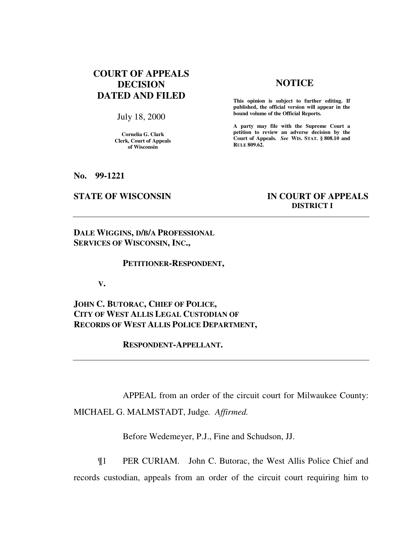# **COURT OF APPEALS DECISION DATED AND FILED**

July 18, 2000

**Cornelia G. Clark Clerk, Court of Appeals of Wisconsin** 

# **NOTICE**

**This opinion is subject to further editing. If published, the official version will appear in the bound volume of the Official Reports.**

**A party may file with the Supreme Court a petition to review an adverse decision by the Court of Appeals.** *See* **WIS. STAT. § 808.10 and RULE 809.62.** 

**No. 99-1221** 

## **STATE OF WISCONSIN IN COURT OF APPEALS DISTRICT I**

**DALE WIGGINS, D/B/A PROFESSIONAL SERVICES OF WISCONSIN, INC.,** 

#### **PETITIONER-RESPONDENT,**

**V.** 

**JOHN C. BUTORAC, CHIEF OF POLICE, CITY OF WEST ALLIS LEGAL CUSTODIAN OF RECORDS OF WEST ALLIS POLICE DEPARTMENT,** 

 **RESPONDENT-APPELLANT.** 

 APPEAL from an order of the circuit court for Milwaukee County: MICHAEL G. MALMSTADT, Judge*. Affirmed.*

Before Wedemeyer, P.J., Fine and Schudson, JJ.

 ¶1 PER CURIAM. John C. Butorac, the West Allis Police Chief and records custodian, appeals from an order of the circuit court requiring him to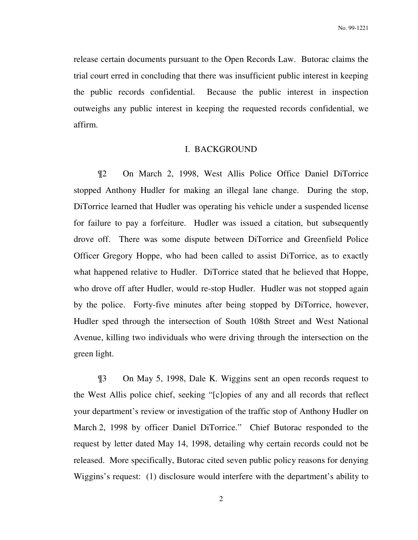release certain documents pursuant to the Open Records Law. Butorac claims the trial court erred in concluding that there was insufficient public interest in keeping the public records confidential. Because the public interest in inspection outweighs any public interest in keeping the requested records confidential, we affirm.

#### I. BACKGROUND

 ¶2 On March 2, 1998, West Allis Police Office Daniel DiTorrice stopped Anthony Hudler for making an illegal lane change. During the stop, DiTorrice learned that Hudler was operating his vehicle under a suspended license for failure to pay a forfeiture. Hudler was issued a citation, but subsequently drove off. There was some dispute between DiTorrice and Greenfield Police Officer Gregory Hoppe, who had been called to assist DiTorrice, as to exactly what happened relative to Hudler. DiTorrice stated that he believed that Hoppe, who drove off after Hudler, would re-stop Hudler. Hudler was not stopped again by the police. Forty-five minutes after being stopped by DiTorrice, however, Hudler sped through the intersection of South 108th Street and West National Avenue, killing two individuals who were driving through the intersection on the green light.

 ¶3 On May 5, 1998, Dale K. Wiggins sent an open records request to the West Allis police chief, seeking "[c]opies of any and all records that reflect your department's review or investigation of the traffic stop of Anthony Hudler on March 2, 1998 by officer Daniel DiTorrice." Chief Butorac responded to the request by letter dated May 14, 1998, detailing why certain records could not be released. More specifically, Butorac cited seven public policy reasons for denying Wiggins's request: (1) disclosure would interfere with the department's ability to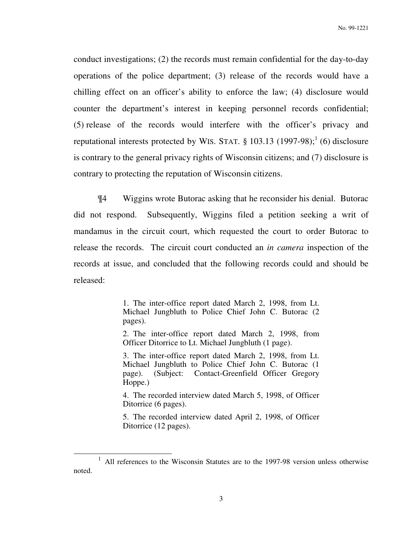conduct investigations; (2) the records must remain confidential for the day-to-day operations of the police department; (3) release of the records would have a chilling effect on an officer's ability to enforce the law; (4) disclosure would counter the department's interest in keeping personnel records confidential; (5) release of the records would interfere with the officer's privacy and reputational interests protected by WIS. STAT.  $\S$  103.13 (1997-98);<sup>1</sup> (6) disclosure is contrary to the general privacy rights of Wisconsin citizens; and (7) disclosure is contrary to protecting the reputation of Wisconsin citizens.

 ¶4 Wiggins wrote Butorac asking that he reconsider his denial. Butorac did not respond. Subsequently, Wiggins filed a petition seeking a writ of mandamus in the circuit court, which requested the court to order Butorac to release the records. The circuit court conducted an *in camera* inspection of the records at issue, and concluded that the following records could and should be released:

> 1. The inter-office report dated March 2, 1998, from Lt. Michael Jungbluth to Police Chief John C. Butorac (2 pages).

> 2. The inter-office report dated March 2, 1998, from Officer Ditorrice to Lt. Michael Jungbluth (1 page).

> 3. The inter-office report dated March 2, 1998, from Lt. Michael Jungbluth to Police Chief John C. Butorac (1 page). (Subject: Contact-Greenfield Officer Gregory Hoppe.)

> 4. The recorded interview dated March 5, 1998, of Officer Ditorrice (6 pages).

> 5. The recorded interview dated April 2, 1998, of Officer Ditorrice (12 pages).

-

<sup>1</sup> All references to the Wisconsin Statutes are to the 1997-98 version unless otherwise noted.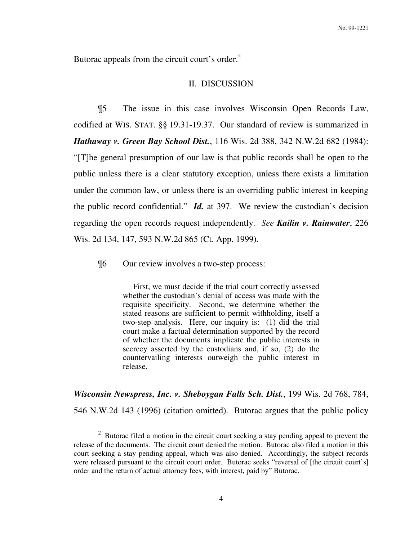Butorac appeals from the circuit court's order.<sup>2</sup>

## II. DISCUSSION

 ¶5 The issue in this case involves Wisconsin Open Records Law, codified at WIS. STAT. §§ 19.31-19.37. Our standard of review is summarized in *Hathaway v. Green Bay School Dist.*, 116 Wis. 2d 388, 342 N.W.2d 682 (1984): "[T]he general presumption of our law is that public records shall be open to the public unless there is a clear statutory exception, unless there exists a limitation under the common law, or unless there is an overriding public interest in keeping the public record confidential." *Id.* at 397. We review the custodian's decision regarding the open records request independently. *See Kailin v. Rainwater*, 226 Wis. 2d 134, 147, 593 N.W.2d 865 (Ct. App. 1999).

¶6 Our review involves a two-step process:

-

 First, we must decide if the trial court correctly assessed whether the custodian's denial of access was made with the requisite specificity. Second, we determine whether the stated reasons are sufficient to permit withholding, itself a two-step analysis. Here, our inquiry is: (1) did the trial court make a factual determination supported by the record of whether the documents implicate the public interests in secrecy asserted by the custodians and, if so, (2) do the countervailing interests outweigh the public interest in release.

*Wisconsin Newspress, Inc. v. Sheboygan Falls Sch. Dist.*, 199 Wis. 2d 768, 784, 546 N.W.2d 143 (1996) (citation omitted). Butorac argues that the public policy

 $2$  Butorac filed a motion in the circuit court seeking a stay pending appeal to prevent the release of the documents. The circuit court denied the motion. Butorac also filed a motion in this court seeking a stay pending appeal, which was also denied. Accordingly, the subject records were released pursuant to the circuit court order. Butorac seeks "reversal of [the circuit court's] order and the return of actual attorney fees, with interest, paid by" Butorac.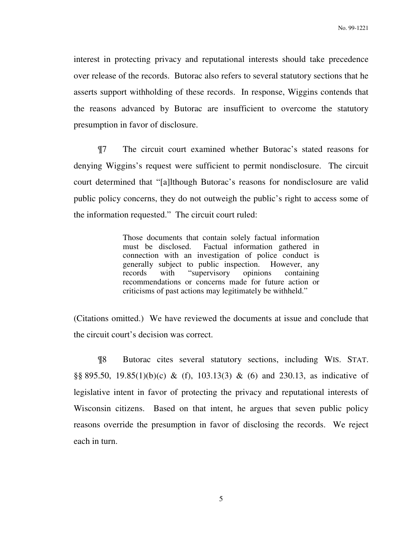interest in protecting privacy and reputational interests should take precedence over release of the records. Butorac also refers to several statutory sections that he asserts support withholding of these records. In response, Wiggins contends that the reasons advanced by Butorac are insufficient to overcome the statutory presumption in favor of disclosure.

 ¶7 The circuit court examined whether Butorac's stated reasons for denying Wiggins's request were sufficient to permit nondisclosure. The circuit court determined that "[a]lthough Butorac's reasons for nondisclosure are valid public policy concerns, they do not outweigh the public's right to access some of the information requested." The circuit court ruled:

> Those documents that contain solely factual information must be disclosed. Factual information gathered in connection with an investigation of police conduct is generally subject to public inspection. However, any records with "supervisory opinions containing recommendations or concerns made for future action or criticisms of past actions may legitimately be withheld."

(Citations omitted.) We have reviewed the documents at issue and conclude that the circuit court's decision was correct.

 ¶8 Butorac cites several statutory sections, including WIS. STAT. §§ 895.50, 19.85(1)(b)(c) & (f), 103.13(3) & (6) and 230.13, as indicative of legislative intent in favor of protecting the privacy and reputational interests of Wisconsin citizens. Based on that intent, he argues that seven public policy reasons override the presumption in favor of disclosing the records. We reject each in turn.

5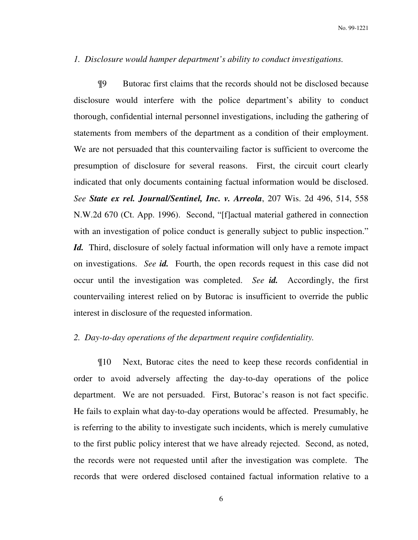### *1. Disclosure would hamper department's ability to conduct investigations.*

 ¶9 Butorac first claims that the records should not be disclosed because disclosure would interfere with the police department's ability to conduct thorough, confidential internal personnel investigations, including the gathering of statements from members of the department as a condition of their employment. We are not persuaded that this countervailing factor is sufficient to overcome the presumption of disclosure for several reasons. First, the circuit court clearly indicated that only documents containing factual information would be disclosed. *See State ex rel. Journal/Sentinel, Inc. v. Arreola*, 207 Wis. 2d 496, 514, 558 N.W.2d 670 (Ct. App. 1996). Second, "[f]actual material gathered in connection with an investigation of police conduct is generally subject to public inspection." *Id.* Third, disclosure of solely factual information will only have a remote impact on investigations. *See id.* Fourth, the open records request in this case did not occur until the investigation was completed. *See id.* Accordingly, the first countervailing interest relied on by Butorac is insufficient to override the public interest in disclosure of the requested information.

# *2. Day-to-day operations of the department require confidentiality.*

 ¶10 Next, Butorac cites the need to keep these records confidential in order to avoid adversely affecting the day-to-day operations of the police department. We are not persuaded. First, Butorac's reason is not fact specific. He fails to explain what day-to-day operations would be affected. Presumably, he is referring to the ability to investigate such incidents, which is merely cumulative to the first public policy interest that we have already rejected. Second, as noted, the records were not requested until after the investigation was complete. The records that were ordered disclosed contained factual information relative to a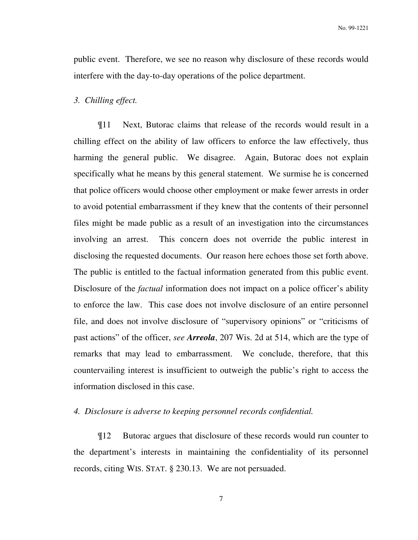public event. Therefore, we see no reason why disclosure of these records would interfere with the day-to-day operations of the police department.

#### *3. Chilling effect.*

 ¶11 Next, Butorac claims that release of the records would result in a chilling effect on the ability of law officers to enforce the law effectively, thus harming the general public. We disagree. Again, Butorac does not explain specifically what he means by this general statement. We surmise he is concerned that police officers would choose other employment or make fewer arrests in order to avoid potential embarrassment if they knew that the contents of their personnel files might be made public as a result of an investigation into the circumstances involving an arrest. This concern does not override the public interest in disclosing the requested documents. Our reason here echoes those set forth above. The public is entitled to the factual information generated from this public event. Disclosure of the *factual* information does not impact on a police officer's ability to enforce the law. This case does not involve disclosure of an entire personnel file, and does not involve disclosure of "supervisory opinions" or "criticisms of past actions" of the officer, *see Arreola*, 207 Wis. 2d at 514, which are the type of remarks that may lead to embarrassment. We conclude, therefore, that this countervailing interest is insufficient to outweigh the public's right to access the information disclosed in this case.

#### *4. Disclosure is adverse to keeping personnel records confidential.*

 ¶12 Butorac argues that disclosure of these records would run counter to the department's interests in maintaining the confidentiality of its personnel records, citing WIS. STAT. § 230.13. We are not persuaded.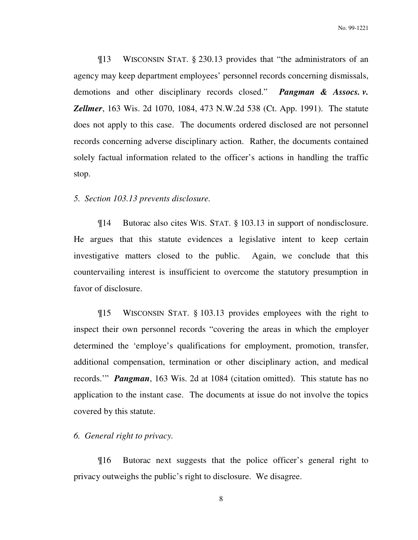No. 99-1221

 ¶13 WISCONSIN STAT. § 230.13 provides that "the administrators of an agency may keep department employees' personnel records concerning dismissals, demotions and other disciplinary records closed." *Pangman & Assocs. v. Zellmer*, 163 Wis. 2d 1070, 1084, 473 N.W.2d 538 (Ct. App. 1991). The statute does not apply to this case. The documents ordered disclosed are not personnel records concerning adverse disciplinary action. Rather, the documents contained solely factual information related to the officer's actions in handling the traffic stop.

## *5. Section 103.13 prevents disclosure.*

 ¶14 Butorac also cites WIS. STAT. § 103.13 in support of nondisclosure. He argues that this statute evidences a legislative intent to keep certain investigative matters closed to the public. Again, we conclude that this countervailing interest is insufficient to overcome the statutory presumption in favor of disclosure.

 ¶15 WISCONSIN STAT. § 103.13 provides employees with the right to inspect their own personnel records "covering the areas in which the employer determined the 'employe's qualifications for employment, promotion, transfer, additional compensation, termination or other disciplinary action, and medical records.'" *Pangman*, 163 Wis. 2d at 1084 (citation omitted). This statute has no application to the instant case. The documents at issue do not involve the topics covered by this statute.

*6. General right to privacy.*

 ¶16 Butorac next suggests that the police officer's general right to privacy outweighs the public's right to disclosure. We disagree.

8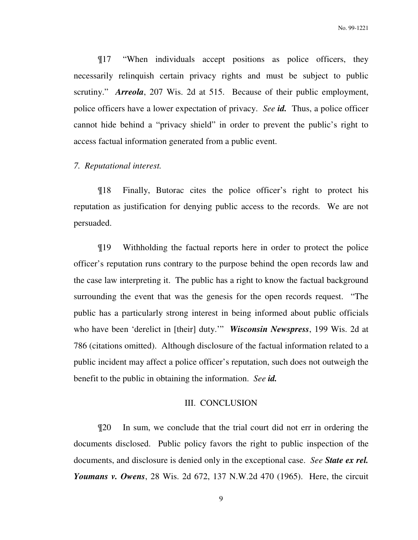¶17 "When individuals accept positions as police officers, they necessarily relinquish certain privacy rights and must be subject to public scrutiny." *Arreola*, 207 Wis. 2d at 515. Because of their public employment, police officers have a lower expectation of privacy. *See id.* Thus, a police officer cannot hide behind a "privacy shield" in order to prevent the public's right to access factual information generated from a public event.

# *7. Reputational interest.*

 ¶18 Finally, Butorac cites the police officer's right to protect his reputation as justification for denying public access to the records. We are not persuaded.

 ¶19 Withholding the factual reports here in order to protect the police officer's reputation runs contrary to the purpose behind the open records law and the case law interpreting it. The public has a right to know the factual background surrounding the event that was the genesis for the open records request. "The public has a particularly strong interest in being informed about public officials who have been 'derelict in [their] duty.'" *Wisconsin Newspress*, 199 Wis. 2d at 786 (citations omitted). Although disclosure of the factual information related to a public incident may affect a police officer's reputation, such does not outweigh the benefit to the public in obtaining the information. *See id.*

#### III. CONCLUSION

 ¶20 In sum, we conclude that the trial court did not err in ordering the documents disclosed. Public policy favors the right to public inspection of the documents, and disclosure is denied only in the exceptional case. *See State ex rel. Youmans v. Owens*, 28 Wis. 2d 672, 137 N.W.2d 470 (1965). Here, the circuit